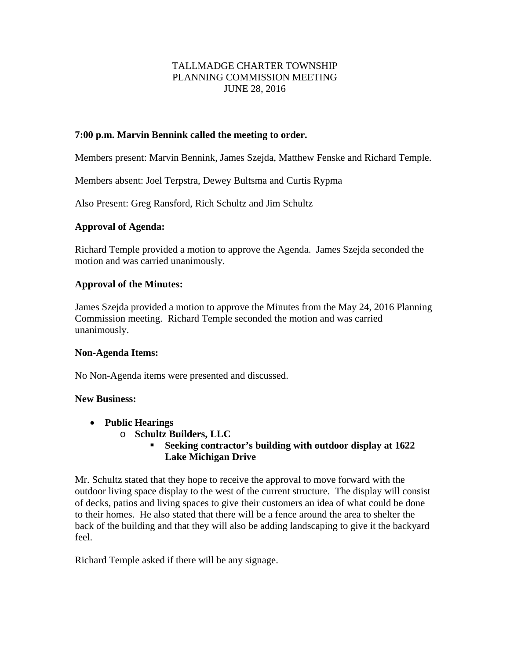## TALLMADGE CHARTER TOWNSHIP PLANNING COMMISSION MEETING JUNE 28, 2016

#### **7:00 p.m. Marvin Bennink called the meeting to order.**

Members present: Marvin Bennink, James Szejda, Matthew Fenske and Richard Temple.

Members absent: Joel Terpstra, Dewey Bultsma and Curtis Rypma

Also Present: Greg Ransford, Rich Schultz and Jim Schultz

#### **Approval of Agenda:**

Richard Temple provided a motion to approve the Agenda. James Szejda seconded the motion and was carried unanimously.

#### **Approval of the Minutes:**

James Szejda provided a motion to approve the Minutes from the May 24, 2016 Planning Commission meeting. Richard Temple seconded the motion and was carried unanimously.

#### **Non-Agenda Items:**

No Non-Agenda items were presented and discussed.

#### **New Business:**

- **Public Hearings** 
	- o **Schultz Builders, LLC** 
		- **Seeking contractor's building with outdoor display at 1622 Lake Michigan Drive**

Mr. Schultz stated that they hope to receive the approval to move forward with the outdoor living space display to the west of the current structure. The display will consist of decks, patios and living spaces to give their customers an idea of what could be done to their homes. He also stated that there will be a fence around the area to shelter the back of the building and that they will also be adding landscaping to give it the backyard feel.

Richard Temple asked if there will be any signage.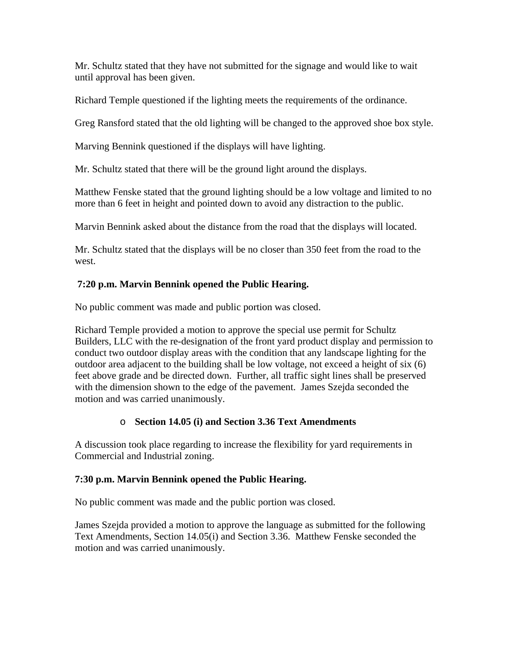Mr. Schultz stated that they have not submitted for the signage and would like to wait until approval has been given.

Richard Temple questioned if the lighting meets the requirements of the ordinance.

Greg Ransford stated that the old lighting will be changed to the approved shoe box style.

Marving Bennink questioned if the displays will have lighting.

Mr. Schultz stated that there will be the ground light around the displays.

Matthew Fenske stated that the ground lighting should be a low voltage and limited to no more than 6 feet in height and pointed down to avoid any distraction to the public.

Marvin Bennink asked about the distance from the road that the displays will located.

Mr. Schultz stated that the displays will be no closer than 350 feet from the road to the west.

# **7:20 p.m. Marvin Bennink opened the Public Hearing.**

No public comment was made and public portion was closed.

Richard Temple provided a motion to approve the special use permit for Schultz Builders, LLC with the re-designation of the front yard product display and permission to conduct two outdoor display areas with the condition that any landscape lighting for the outdoor area adjacent to the building shall be low voltage, not exceed a height of six (6) feet above grade and be directed down. Further, all traffic sight lines shall be preserved with the dimension shown to the edge of the pavement. James Szejda seconded the motion and was carried unanimously.

## o **Section 14.05 (i) and Section 3.36 Text Amendments**

A discussion took place regarding to increase the flexibility for yard requirements in Commercial and Industrial zoning.

## **7:30 p.m. Marvin Bennink opened the Public Hearing.**

No public comment was made and the public portion was closed.

James Szejda provided a motion to approve the language as submitted for the following Text Amendments, Section 14.05(i) and Section 3.36. Matthew Fenske seconded the motion and was carried unanimously.